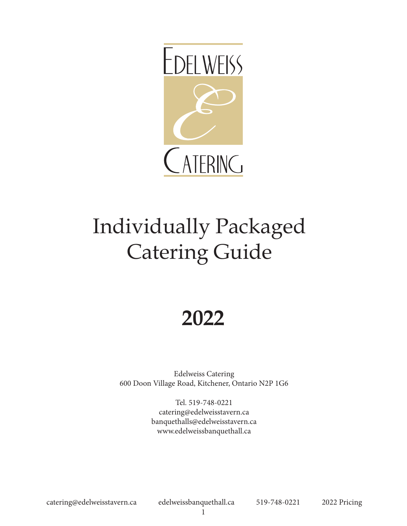

# Individually Packaged Catering Guide

## **2022**

Edelweiss Catering 600 Doon Village Road, Kitchener, Ontario N2P 1G6

> Tel. 519-748-0221 catering@edelweisstavern.ca banquethalls@edelweisstavern.ca www.edelweissbanquethall.ca

catering@edelweisstavern.ca edelweissbanquethall.ca 519-748-0221 2022 Pricing

1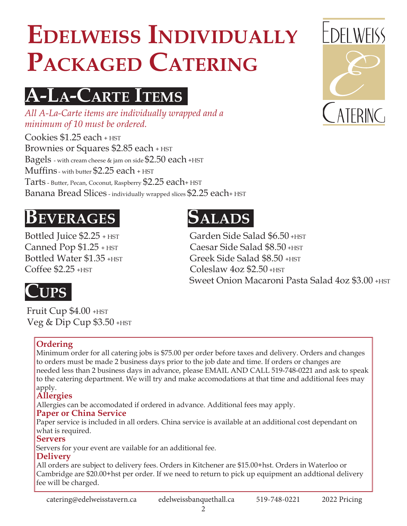# **Edelweiss Individually** PACKAGED CATERING

## **AA-LLa-Carte Items**

*All A-La-Carte items are individually wrapped and a minimum of 10 must be ordered.*

Cookies \$1.25 each + HST Brownies or Squares \$2.85 each + HST Bagels - with cream cheese & jam on side\$2.50 each +HST Muffins - with butter \$2.25 each + HST Tarts - Butter, Pecan, Coconut, Raspberry \$2.25 each+ HST Banana Bread Slices - individually wrapped slices \$2.25 each+ HST

## **Beverages**

Bottled Juice \$2.25 + HST Canned Pop \$1.25 + HST Bottled Water \$1.35 + HST Coffee \$2.25 +HST

## **Salads**

Garden Side Salad \$6.50 +HST Caesar Side Salad \$8.50 +HST Greek Side Salad \$8.50 +HST Coleslaw 4oz \$2.50 +HST Sweet Onion Macaroni Pasta Salad 4oz \$3.00 + HST

## **Cups**

Fruit Cup  $$4.00+$ HST Veg & Dip Cup \$3.50 +HST

#### **Ordering**

Minimum order for all catering jobs is \$75.00 per order before taxes and delivery. Orders and changes to orders must be made 2 business days prior to the job date and time. If orders or changes are needed less than 2 business days in advance, please EMAIL AND CALL 519-748-0221 and ask to speak to the catering department. We will try and make accomodations at that time and additional fees may apply.

#### **Allergies**

Allergies can be accomodated if ordered in advance. Additional fees may apply.

#### **Paper or China Service**

Paper service is included in all orders. China service is available at an additional cost dependant on what is required.

#### **Servers**

Servers for your event are vailable for an additional fee.

#### **Delivery**

All orders are subject to delivery fees. Orders in Kitchener are \$15.00+hst. Orders in Waterloo or Cambridge are \$20.00+hst per order. If we need to return to pick up equipment an addtional delivery fee will be charged.

catering@edelweisstavern.ca edelweissbanquethall.ca 519-748-0221 2022 Pricing

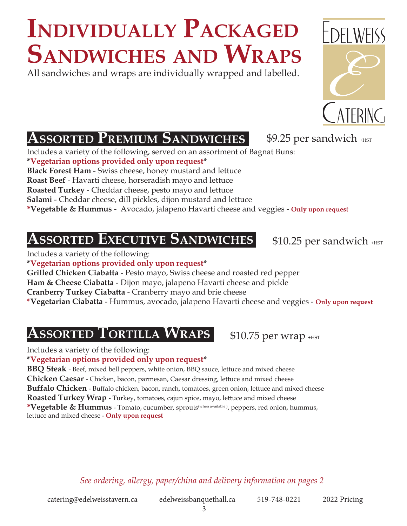# **Sandwiches and Wraps Individually Packaged**

All sandwiches and wraps are individually wrapped and labelled.



Includes a variety of the following, served on an assortment of Bagnat Buns:

**\*Vegetarian options provided only upon request\***

**Black Forest Ham** - Swiss cheese, honey mustard and lettuce

**Roast Beef** - Havarti cheese, horseradish mayo and lettuce

**Roasted Turkey** - Cheddar cheese, pesto mayo and lettuce

**Salami** - Cheddar cheese, dill pickles, dijon mustard and lettuce

**\*Vegetable & Hummus** - Avocado, jalapeno Havarti cheese and veggies - **Only upon request**

### **ASSORTED EXECUTIVE SANDWICHES** \$10.25 per sandwich +HST

Includes a variety of the following:

**\*Vegetarian options provided only upon request\***

**Grilled Chicken Ciabatta** - Pesto mayo, Swiss cheese and roasted red pepper **Ham & Cheese Ciabatta** - Dijon mayo, jalapeno Havarti cheese and pickle

**Cranberry Turkey Ciabatta** - Cranberry mayo and brie cheese

**\*Vegetarian Ciabatta** - Hummus, avocado, jalapeno Havarti cheese and veggies - **Only upon request**

### **AAssorted ssorted TTortiilla WWraps**

Includes a variety of the following:

**\*Vegetarian options provided only upon request\***

**BBQ Steak** - Beef, mixed bell peppers, white onion, BBQ sauce, lettuce and mixed cheese

**Chicken Caesar** - Chicken, bacon, parmesan, Caesar dressing, lettuce and mixed cheese

**Buffalo Chicken** - Buffalo chicken, bacon, ranch, tomatoes, green onion, lettuce and mixed cheese

**Roasted Turkey Wrap** - Turkey, tomatoes, cajun spice, mayo, lettuce and mixed cheese

**\*Vegetable & Hummus** - Tomato, cucumber, sprouts(when available ), peppers, red onion, hummus, lettuce and mixed cheese - **Only upon request**

*See ordering, allergy, paper/china and delivery information on pages 2*

3



 $$9.25$  per sandwich  $_{\text{HST}}$ 

 $$10.75$  per wrap  $_{\text{HST}}$